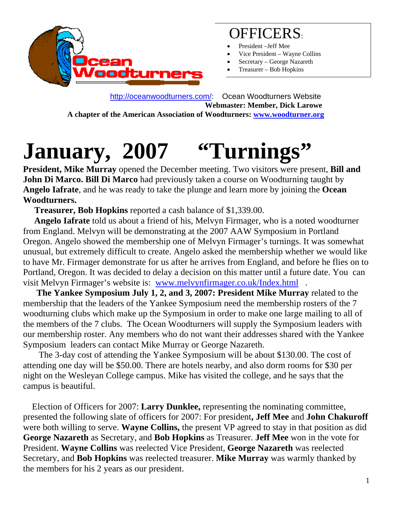

#### OFFICERS:

- President -Jeff Mee
- Vice President Wayne Collins
- Secretary George Nazareth
- Treasurer Bob Hopkins

 [http://oceanwoodturners.com/:](http://oceanwoodturners.com/) Ocean Woodturners Website **Webmaster: Member, Dick Larowe A chapter of the American Association of Woodturners: [www.woodturner.org](http://www.woodturner.org/)** 

# January, 2007 "Turnings"

**President, Mike Murray** opened the December meeting. Two visitors were present, **Bill and John Di Marco. Bill Di Marco** had previously taken a course on Woodturning taught by **Angelo Iafrate**, and he was ready to take the plunge and learn more by joining the **Ocean Woodturners.** 

 **Treasurer, Bob Hopkins** reported a cash balance of \$1,339.00.

 **Angelo Iafrate** told us about a friend of his, Melvyn Firmager, who is a noted woodturner from England. Melvyn will be demonstrating at the 2007 AAW Symposium in Portland Oregon. Angelo showed the membership one of Melvyn Firmager's turnings. It was somewhat unusual, but extremely difficult to create. Angelo asked the membership whether we would like to have Mr. Firmager demonstrate for us after he arrives from England, and before he flies on to Portland, Oregon. It was decided to delay a decision on this matter until a future date. You can visit Melvyn Firmager's website is: [www.melvynfirmager.co.uk/Index.html](http://www.melvynfirmager.co.uk/Index.html).

 **The Yankee Symposium July 1, 2, and 3, 2007: President Mike Murray** related to the membership that the leaders of the Yankee Symposium need the membership rosters of the 7 woodturning clubs which make up the Symposium in order to make one large mailing to all of the members of the 7 clubs. The Ocean Woodturners will supply the Symposium leaders with our membership roster. Any members who do not want their addresses shared with the Yankee Symposium leaders can contact Mike Murray or George Nazareth.

 The 3-day cost of attending the Yankee Symposium will be about \$130.00. The cost of attending one day will be \$50.00. There are hotels nearby, and also dorm rooms for \$30 per night on the Wesleyan College campus. Mike has visited the college, and he says that the campus is beautiful.

Election of Officers for 2007: **Larry Dunklee,** representing the nominating committee, presented the following slate of officers for 2007: For president**, Jeff Mee** and **John Chakuroff**  were both willing to serve. **Wayne Collins,** the present VP agreed to stay in that position as did **George Nazareth** as Secretary, and **Bob Hopkins** as Treasurer. **Jeff Mee** won in the vote for President. **Wayne Collins** was reelected Vice President, **George Nazareth** was reelected Secretary, and **Bob Hopkins** was reelected treasurer. **Mike Murray** was warmly thanked by the members for his 2 years as our president.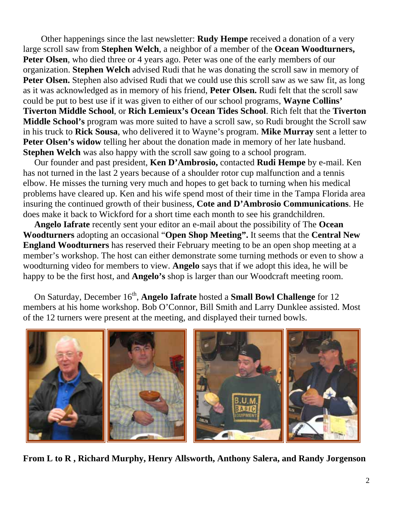Other happenings since the last newsletter: **Rudy Hempe** received a donation of a very large scroll saw from **Stephen Welch**, a neighbor of a member of the **Ocean Woodturners,**  Peter Olsen, who died three or 4 years ago. Peter was one of the early members of our organization. **Stephen Welch** advised Rudi that he was donating the scroll saw in memory of **Peter Olsen.** Stephen also advised Rudi that we could use this scroll saw as we saw fit, as long as it was acknowledged as in memory of his friend, **Peter Olsen.** Rudi felt that the scroll saw could be put to best use if it was given to either of our school programs, **Wayne Collins' Tiverton Middle School**, or **Rich Lemieux's Ocean Tides School**. Rich felt that the **Tiverton Middle School's** program was more suited to have a scroll saw, so Rudi brought the Scroll saw in his truck to **Rick Sousa**, who delivered it to Wayne's program. **Mike Murray** sent a letter to **Peter Olsen's widow** telling her about the donation made in memory of her late husband. **Stephen Welch** was also happy with the scroll saw going to a school program.

Our founder and past president, **Ken D'Ambrosio,** contacted **Rudi Hempe** by e-mail. Ken has not turned in the last 2 years because of a shoulder rotor cup malfunction and a tennis elbow. He misses the turning very much and hopes to get back to turning when his medical problems have cleared up. Ken and his wife spend most of their time in the Tampa Florida area insuring the continued growth of their business, **Cote and D'Ambrosio Communications**. He does make it back to Wickford for a short time each month to see his grandchildren.

 **Angelo Iafrate** recently sent your editor an e-mail about the possibility of The **Ocean Woodturners** adopting an occasional "**Open Shop Meeting".** It seems that the **Central New England Woodturners** has reserved their February meeting to be an open shop meeting at a member's workshop. The host can either demonstrate some turning methods or even to show a woodturning video for members to view. **Angelo** says that if we adopt this idea, he will be happy to be the first host, and **Angelo's** shop is larger than our Woodcraft meeting room.

On Saturday, December 16<sup>th</sup>, **Angelo Iafrate** hosted a **Small Bowl Challenge** for 12 members at his home workshop. Bob O'Connor, Bill Smith and Larry Dunklee assisted. Most of the 12 turners were present at the meeting, and displayed their turned bowls.



**From L to R , Richard Murphy, Henry Allsworth, Anthony Salera, and Randy Jorgenson**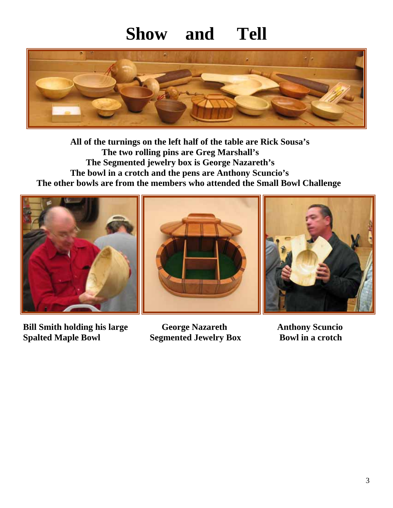## **Show and Tell**



 **All of the turnings on the left half of the table are Rick Sousa's The two rolling pins are Greg Marshall's The Segmented jewelry box is George Nazareth's The bowl in a crotch and the pens are Anthony Scuncio's The other bowls are from the members who attended the Small Bowl Challenge** 



**ge Bill Smith holding his lar George Nazareth Anthony Scuncio Spalted Maple Bowl** 

**palted Box Bowl in a crotch**